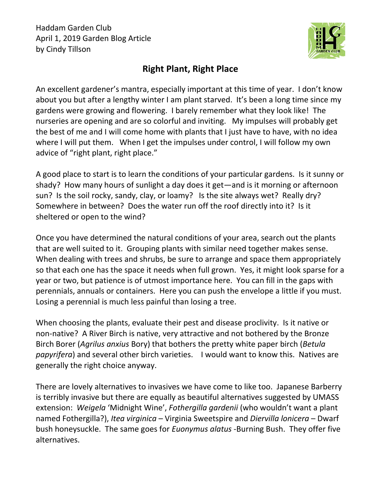

## **Right Plant, Right Place**

An excellent gardener's mantra, especially important at this time of year. I don't know about you but after a lengthy winter I am plant starved. It's been a long time since my gardens were growing and flowering. I barely remember what they look like! The nurseries are opening and are so colorful and inviting. My impulses will probably get the best of me and I will come home with plants that I just have to have, with no idea where I will put them. When I get the impulses under control, I will follow my own advice of "right plant, right place."

A good place to start is to learn the conditions of your particular gardens. Is it sunny or shady? How many hours of sunlight a day does it get—and is it morning or afternoon sun? Is the soil rocky, sandy, clay, or loamy? Is the site always wet? Really dry? Somewhere in between? Does the water run off the roof directly into it? Is it sheltered or open to the wind?

Once you have determined the natural conditions of your area, search out the plants that are well suited to it. Grouping plants with similar need together makes sense. When dealing with trees and shrubs, be sure to arrange and space them appropriately so that each one has the space it needs when full grown. Yes, it might look sparse for a year or two, but patience is of utmost importance here. You can fill in the gaps with perennials, annuals or containers. Here you can push the envelope a little if you must. Losing a perennial is much less painful than losing a tree.

When choosing the plants, evaluate their pest and disease proclivity. Is it native or non-native? A River Birch is native, very attractive and not bothered by the Bronze Birch Borer (*Agrilus anxius* Bory) that bothers the pretty white paper birch (*Betula papyrifera*) and several other birch varieties. I would want to know this. Natives are generally the right choice anyway.

There are lovely alternatives to invasives we have come to like too. Japanese Barberry is terribly invasive but there are equally as beautiful alternatives suggested by UMASS extension: *Weigela* 'Midnight Wine', *Fothergilla gardenii* (who wouldn't want a plant named Fothergilla?), *Itea virginica* – Virginia Sweetspire and *Diervilla lonicera* – Dwarf bush honeysuckle. The same goes for *Euonymus alatus* -Burning Bush. They offer five alternatives.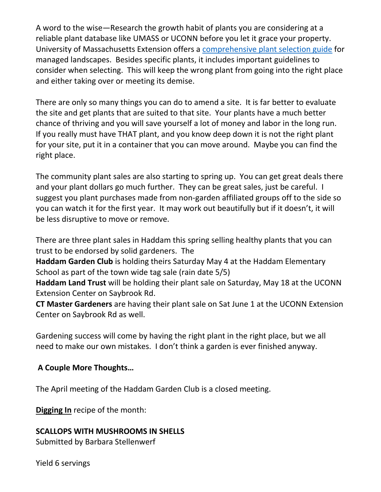A word to the wise—Research the growth habit of plants you are considering at a reliable plant database like UMASS or UCONN before you let it grace your property. University of Massachusetts Extension offers a [comprehensive plant](https://ag.umass.edu/landscape/fact-sheets/right-plant-right-place-plant-selection-guide-for-managed-landscapes) selection guide for managed landscapes. Besides specific plants, it includes important guidelines to consider when selecting. This will keep the wrong plant from going into the right place and either taking over or meeting its demise.

There are only so many things you can do to amend a site. It is far better to evaluate the site and get plants that are suited to that site. Your plants have a much better chance of thriving and you will save yourself a lot of money and labor in the long run. If you really must have THAT plant, and you know deep down it is not the right plant for your site, put it in a container that you can move around. Maybe you can find the right place.

The community plant sales are also starting to spring up. You can get great deals there and your plant dollars go much further. They can be great sales, just be careful. I suggest you plant purchases made from non-garden affiliated groups off to the side so you can watch it for the first year. It may work out beautifully but if it doesn't, it will be less disruptive to move or remove.

There are three plant sales in Haddam this spring selling healthy plants that you can trust to be endorsed by solid gardeners. The

**Haddam Garden Club** is holding theirs Saturday May 4 at the Haddam Elementary School as part of the town wide tag sale (rain date 5/5)

**Haddam Land Trust** will be holding their plant sale on Saturday, May 18 at the UCONN Extension Center on Saybrook Rd.

**CT Master Gardeners** are having their plant sale on Sat June 1 at the UCONN Extension Center on Saybrook Rd as well.

Gardening success will come by having the right plant in the right place, but we all need to make our own mistakes. I don't think a garden is ever finished anyway.

## **A Couple More Thoughts…**

The April meeting of the Haddam Garden Club is a closed meeting.

**Digging In** recipe of the month:

## **SCALLOPS WITH MUSHROOMS IN SHELLS**

Submitted by Barbara Stellenwerf

Yield 6 servings